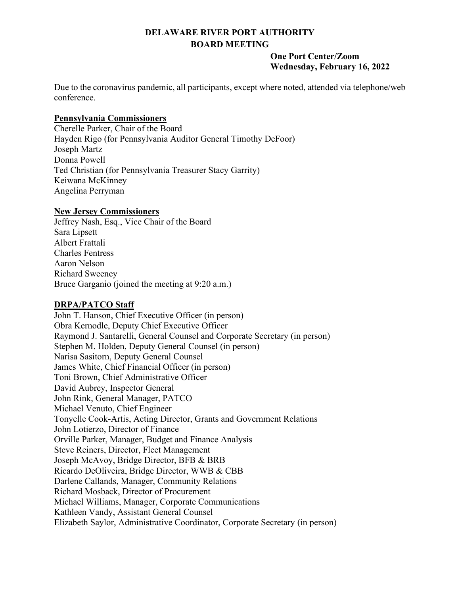# **DELAWARE RIVER PORT AUTHORITY BOARD MEETING**

#### **One Port Center/Zoom Wednesday, February 16, 2022**

Due to the coronavirus pandemic, all participants, except where noted, attended via telephone/web conference.

## **Pennsylvania Commissioners**

Cherelle Parker, Chair of the Board Hayden Rigo (for Pennsylvania Auditor General Timothy DeFoor) Joseph Martz Donna Powell Ted Christian (for Pennsylvania Treasurer Stacy Garrity) Keiwana McKinney Angelina Perryman

## **New Jersey Commissioners**

Jeffrey Nash, Esq., Vice Chair of the Board Sara Lipsett Albert Frattali Charles Fentress Aaron Nelson Richard Sweeney Bruce Garganio (joined the meeting at 9:20 a.m.)

# **DRPA/PATCO Staff**

John T. Hanson, Chief Executive Officer (in person) Obra Kernodle, Deputy Chief Executive Officer Raymond J. Santarelli, General Counsel and Corporate Secretary (in person) Stephen M. Holden, Deputy General Counsel (in person) Narisa Sasitorn, Deputy General Counsel James White, Chief Financial Officer (in person) Toni Brown, Chief Administrative Officer David Aubrey, Inspector General John Rink, General Manager, PATCO Michael Venuto, Chief Engineer Tonyelle Cook-Artis, Acting Director, Grants and Government Relations John Lotierzo, Director of Finance Orville Parker, Manager, Budget and Finance Analysis Steve Reiners, Director, Fleet Management Joseph McAvoy, Bridge Director, BFB & BRB Ricardo DeOliveira, Bridge Director, WWB & CBB Darlene Callands, Manager, Community Relations Richard Mosback, Director of Procurement Michael Williams, Manager, Corporate Communications Kathleen Vandy, Assistant General Counsel Elizabeth Saylor, Administrative Coordinator, Corporate Secretary (in person)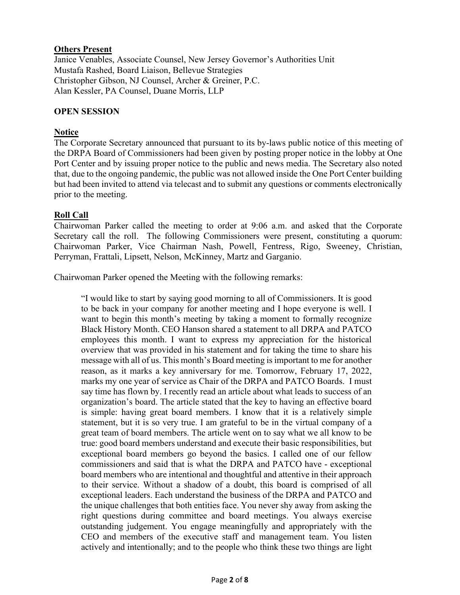## **Others Present**

Janice Venables, Associate Counsel, New Jersey Governor's Authorities Unit Mustafa Rashed, Board Liaison, Bellevue Strategies Christopher Gibson, NJ Counsel, Archer & Greiner, P.C. Alan Kessler, PA Counsel, Duane Morris, LLP

#### **OPEN SESSION**

## **Notice**

The Corporate Secretary announced that pursuant to its by-laws public notice of this meeting of the DRPA Board of Commissioners had been given by posting proper notice in the lobby at One Port Center and by issuing proper notice to the public and news media. The Secretary also noted that, due to the ongoing pandemic, the public was not allowed inside the One Port Center building but had been invited to attend via telecast and to submit any questions or comments electronically prior to the meeting.

## **Roll Call**

Chairwoman Parker called the meeting to order at 9:06 a.m. and asked that the Corporate Secretary call the roll. The following Commissioners were present, constituting a quorum: Chairwoman Parker, Vice Chairman Nash, Powell, Fentress, Rigo, Sweeney, Christian, Perryman, Frattali, Lipsett, Nelson, McKinney, Martz and Garganio.

Chairwoman Parker opened the Meeting with the following remarks:

"I would like to start by saying good morning to all of Commissioners. It is good to be back in your company for another meeting and I hope everyone is well. I want to begin this month's meeting by taking a moment to formally recognize Black History Month. CEO Hanson shared a statement to all DRPA and PATCO employees this month. I want to express my appreciation for the historical overview that was provided in his statement and for taking the time to share his message with all of us. This month's Board meeting is important to me for another reason, as it marks a key anniversary for me. Tomorrow, February 17, 2022, marks my one year of service as Chair of the DRPA and PATCO Boards. I must say time has flown by. I recently read an article about what leads to success of an organization's board. The article stated that the key to having an effective board is simple: having great board members. I know that it is a relatively simple statement, but it is so very true. I am grateful to be in the virtual company of a great team of board members. The article went on to say what we all know to be true: good board members understand and execute their basic responsibilities, but exceptional board members go beyond the basics. I called one of our fellow commissioners and said that is what the DRPA and PATCO have - exceptional board members who are intentional and thoughtful and attentive in their approach to their service. Without a shadow of a doubt, this board is comprised of all exceptional leaders. Each understand the business of the DRPA and PATCO and the unique challenges that both entities face. You never shy away from asking the right questions during committee and board meetings. You always exercise outstanding judgement. You engage meaningfully and appropriately with the CEO and members of the executive staff and management team. You listen actively and intentionally; and to the people who think these two things are light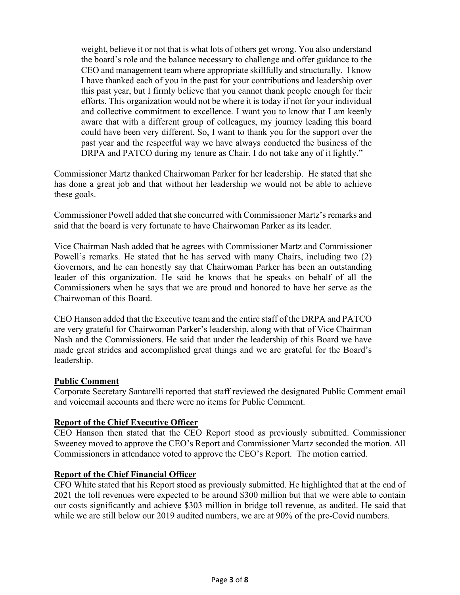weight, believe it or not that is what lots of others get wrong. You also understand the board's role and the balance necessary to challenge and offer guidance to the CEO and management team where appropriate skillfully and structurally. I know I have thanked each of you in the past for your contributions and leadership over this past year, but I firmly believe that you cannot thank people enough for their efforts. This organization would not be where it is today if not for your individual and collective commitment to excellence. I want you to know that I am keenly aware that with a different group of colleagues, my journey leading this board could have been very different. So, I want to thank you for the support over the past year and the respectful way we have always conducted the business of the DRPA and PATCO during my tenure as Chair. I do not take any of it lightly."

Commissioner Martz thanked Chairwoman Parker for her leadership. He stated that she has done a great job and that without her leadership we would not be able to achieve these goals.

Commissioner Powell added that she concurred with Commissioner Martz's remarks and said that the board is very fortunate to have Chairwoman Parker as its leader.

Vice Chairman Nash added that he agrees with Commissioner Martz and Commissioner Powell's remarks. He stated that he has served with many Chairs, including two (2) Governors, and he can honestly say that Chairwoman Parker has been an outstanding leader of this organization. He said he knows that he speaks on behalf of all the Commissioners when he says that we are proud and honored to have her serve as the Chairwoman of this Board.

CEO Hanson added that the Executive team and the entire staff of the DRPA and PATCO are very grateful for Chairwoman Parker's leadership, along with that of Vice Chairman Nash and the Commissioners. He said that under the leadership of this Board we have made great strides and accomplished great things and we are grateful for the Board's leadership.

#### **Public Comment**

Corporate Secretary Santarelli reported that staff reviewed the designated Public Comment email and voicemail accounts and there were no items for Public Comment.

## **Report of the Chief Executive Officer**

CEO Hanson then stated that the CEO Report stood as previously submitted. Commissioner Sweeney moved to approve the CEO's Report and Commissioner Martz seconded the motion. All Commissioners in attendance voted to approve the CEO's Report. The motion carried.

#### **Report of the Chief Financial Officer**

CFO White stated that his Report stood as previously submitted. He highlighted that at the end of 2021 the toll revenues were expected to be around \$300 million but that we were able to contain our costs significantly and achieve \$303 million in bridge toll revenue, as audited. He said that while we are still below our 2019 audited numbers, we are at 90% of the pre-Covid numbers.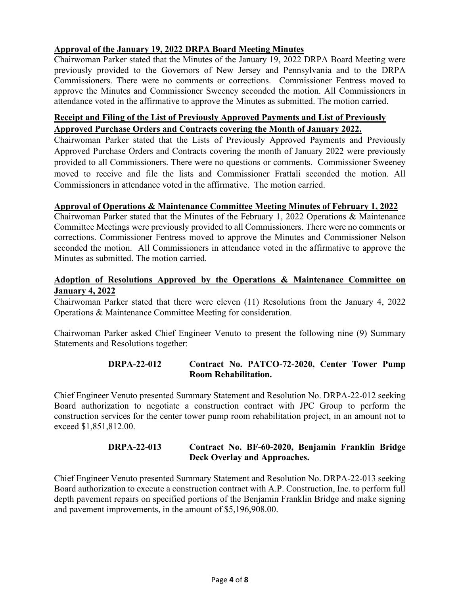# **Approval of the January 19, 2022 DRPA Board Meeting Minutes**

Chairwoman Parker stated that the Minutes of the January 19, 2022 DRPA Board Meeting were previously provided to the Governors of New Jersey and Pennsylvania and to the DRPA Commissioners. There were no comments or corrections. Commissioner Fentress moved to approve the Minutes and Commissioner Sweeney seconded the motion. All Commissioners in attendance voted in the affirmative to approve the Minutes as submitted. The motion carried.

# **Receipt and Filing of the List of Previously Approved Payments and List of Previously Approved Purchase Orders and Contracts covering the Month of January 2022.**

Chairwoman Parker stated that the Lists of Previously Approved Payments and Previously Approved Purchase Orders and Contracts covering the month of January 2022 were previously provided to all Commissioners. There were no questions or comments. Commissioner Sweeney moved to receive and file the lists and Commissioner Frattali seconded the motion. All Commissioners in attendance voted in the affirmative. The motion carried.

#### **Approval of Operations & Maintenance Committee Meeting Minutes of February 1, 2022**

Chairwoman Parker stated that the Minutes of the February 1, 2022 Operations & Maintenance Committee Meetings were previously provided to all Commissioners. There were no comments or corrections. Commissioner Fentress moved to approve the Minutes and Commissioner Nelson seconded the motion. All Commissioners in attendance voted in the affirmative to approve the Minutes as submitted. The motion carried.

## **Adoption of Resolutions Approved by the Operations & Maintenance Committee on January 4, 2022**

Chairwoman Parker stated that there were eleven (11) Resolutions from the January 4, 2022 Operations & Maintenance Committee Meeting for consideration.

Chairwoman Parker asked Chief Engineer Venuto to present the following nine (9) Summary Statements and Resolutions together:

## **DRPA-22-012 Contract No. PATCO-72-2020, Center Tower Pump Room Rehabilitation.**

Chief Engineer Venuto presented Summary Statement and Resolution No. DRPA-22-012 seeking Board authorization to negotiate a construction contract with JPC Group to perform the construction services for the center tower pump room rehabilitation project, in an amount not to exceed \$1,851,812.00.

## **DRPA-22-013 Contract No. BF-60-2020, Benjamin Franklin Bridge Deck Overlay and Approaches.**

Chief Engineer Venuto presented Summary Statement and Resolution No. DRPA-22-013 seeking Board authorization to execute a construction contract with A.P. Construction, Inc. to perform full depth pavement repairs on specified portions of the Benjamin Franklin Bridge and make signing and pavement improvements, in the amount of \$5,196,908.00.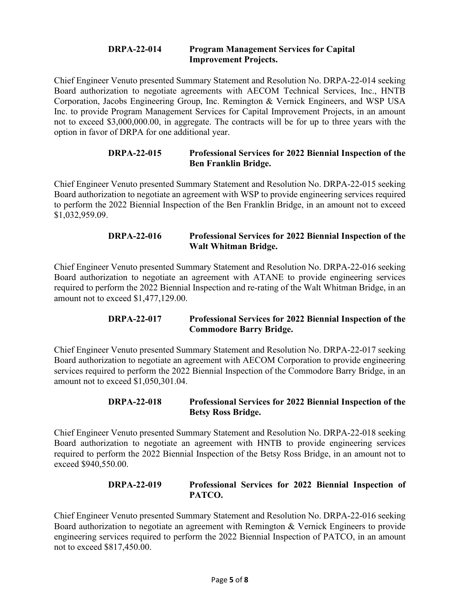#### **DRPA-22-014 Program Management Services for Capital Improvement Projects.**

Chief Engineer Venuto presented Summary Statement and Resolution No. DRPA-22-014 seeking Board authorization to negotiate agreements with AECOM Technical Services, Inc., HNTB Corporation, Jacobs Engineering Group, Inc. Remington & Vernick Engineers, and WSP USA Inc. to provide Program Management Services for Capital Improvement Projects, in an amount not to exceed \$3,000,000.00, in aggregate. The contracts will be for up to three years with the option in favor of DRPA for one additional year.

## **DRPA-22-015 Professional Services for 2022 Biennial Inspection of the Ben Franklin Bridge.**

Chief Engineer Venuto presented Summary Statement and Resolution No. DRPA-22-015 seeking Board authorization to negotiate an agreement with WSP to provide engineering services required to perform the 2022 Biennial Inspection of the Ben Franklin Bridge, in an amount not to exceed \$1,032,959.09.

## **DRPA-22-016 Professional Services for 2022 Biennial Inspection of the Walt Whitman Bridge.**

Chief Engineer Venuto presented Summary Statement and Resolution No. DRPA-22-016 seeking Board authorization to negotiate an agreement with ATANE to provide engineering services required to perform the 2022 Biennial Inspection and re-rating of the Walt Whitman Bridge, in an amount not to exceed \$1,477,129.00.

# **DRPA-22-017 Professional Services for 2022 Biennial Inspection of the Commodore Barry Bridge.**

Chief Engineer Venuto presented Summary Statement and Resolution No. DRPA-22-017 seeking Board authorization to negotiate an agreement with AECOM Corporation to provide engineering services required to perform the 2022 Biennial Inspection of the Commodore Barry Bridge, in an amount not to exceed \$1,050,301.04.

## **DRPA-22-018 Professional Services for 2022 Biennial Inspection of the Betsy Ross Bridge.**

Chief Engineer Venuto presented Summary Statement and Resolution No. DRPA-22-018 seeking Board authorization to negotiate an agreement with HNTB to provide engineering services required to perform the 2022 Biennial Inspection of the Betsy Ross Bridge, in an amount not to exceed \$940,550.00.

## **DRPA-22-019 Professional Services for 2022 Biennial Inspection of PATCO.**

Chief Engineer Venuto presented Summary Statement and Resolution No. DRPA-22-016 seeking Board authorization to negotiate an agreement with Remington & Vernick Engineers to provide engineering services required to perform the 2022 Biennial Inspection of PATCO, in an amount not to exceed \$817,450.00.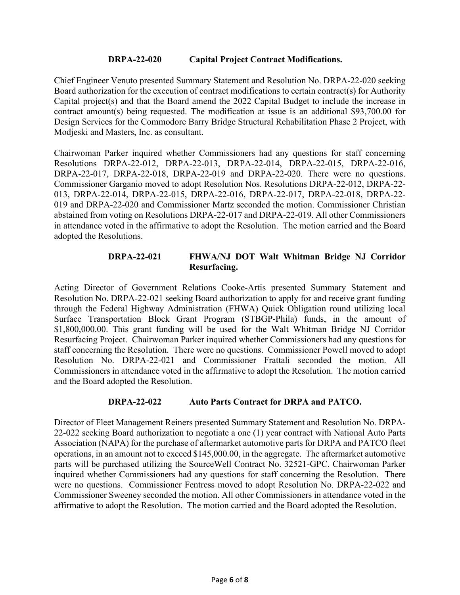## **DRPA-22-020 Capital Project Contract Modifications.**

Chief Engineer Venuto presented Summary Statement and Resolution No. DRPA-22-020 seeking Board authorization for the execution of contract modifications to certain contract(s) for Authority Capital project(s) and that the Board amend the 2022 Capital Budget to include the increase in contract amount(s) being requested. The modification at issue is an additional \$93,700.00 for Design Services for the Commodore Barry Bridge Structural Rehabilitation Phase 2 Project, with Modjeski and Masters, Inc. as consultant.

Chairwoman Parker inquired whether Commissioners had any questions for staff concerning Resolutions DRPA-22-012, DRPA-22-013, DRPA-22-014, DRPA-22-015, DRPA-22-016, DRPA-22-017, DRPA-22-018, DRPA-22-019 and DRPA-22-020. There were no questions. Commissioner Garganio moved to adopt Resolution Nos. Resolutions DRPA-22-012, DRPA-22- 013, DRPA-22-014, DRPA-22-015, DRPA-22-016, DRPA-22-017, DRPA-22-018, DRPA-22- 019 and DRPA-22-020 and Commissioner Martz seconded the motion. Commissioner Christian abstained from voting on Resolutions DRPA-22-017 and DRPA-22-019. All other Commissioners in attendance voted in the affirmative to adopt the Resolution. The motion carried and the Board adopted the Resolutions.

#### **DRPA-22-021 FHWA/NJ DOT Walt Whitman Bridge NJ Corridor Resurfacing.**

Acting Director of Government Relations Cooke-Artis presented Summary Statement and Resolution No. DRPA-22-021 seeking Board authorization to apply for and receive grant funding through the Federal Highway Administration (FHWA) Quick Obligation round utilizing local Surface Transportation Block Grant Program (STBGP-Phila) funds, in the amount of \$1,800,000.00. This grant funding will be used for the Walt Whitman Bridge NJ Corridor Resurfacing Project. Chairwoman Parker inquired whether Commissioners had any questions for staff concerning the Resolution. There were no questions. Commissioner Powell moved to adopt Resolution No. DRPA-22-021 and Commissioner Frattali seconded the motion. All Commissioners in attendance voted in the affirmative to adopt the Resolution. The motion carried and the Board adopted the Resolution.

#### **DRPA-22-022 Auto Parts Contract for DRPA and PATCO.**

Director of Fleet Management Reiners presented Summary Statement and Resolution No. DRPA-22-022 seeking Board authorization to negotiate a one (1) year contract with National Auto Parts Association (NAPA) for the purchase of aftermarket automotive parts for DRPA and PATCO fleet operations, in an amount not to exceed \$145,000.00, in the aggregate. The aftermarket automotive parts will be purchased utilizing the SourceWell Contract No. 32521-GPC. Chairwoman Parker inquired whether Commissioners had any questions for staff concerning the Resolution. There were no questions. Commissioner Fentress moved to adopt Resolution No. DRPA-22-022 and Commissioner Sweeney seconded the motion. All other Commissioners in attendance voted in the affirmative to adopt the Resolution. The motion carried and the Board adopted the Resolution.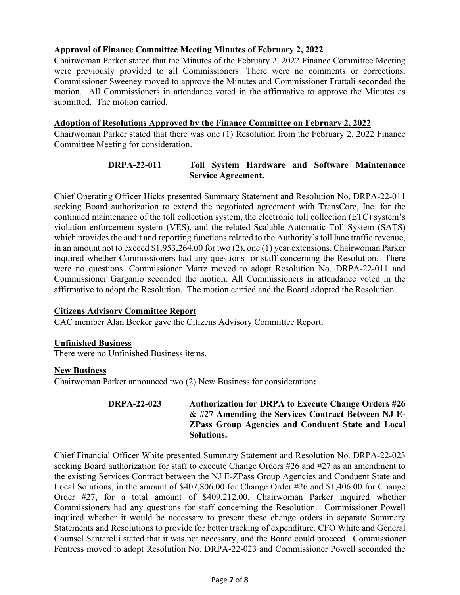# **Approval of Finance Committee Meeting Minutes of February 2, 2022**

Chairwoman Parker stated that the Minutes of the February 2, 2022 Finance Committee Meeting were previously provided to all Commissioners. There were no comments or corrections. Commissioner Sweeney moved to approve the Minutes and Commissioner Frattali seconded the motion. All Commissioners in attendance voted in the affirmative to approve the Minutes as submitted. The motion carried.

#### **Adoption of Resolutions Approved by the Finance Committee on February 2, 2022**

Chairwoman Parker stated that there was one (1) Resolution from the February 2, 2022 Finance Committee Meeting for consideration.

# **DRPA-22-011 Toll System Hardware and Software Maintenance Service Agreement.**

Chief Operating Officer Hicks presented Summary Statement and Resolution No. DRPA-22-011 seeking Board authorization to extend the negotiated agreement with TransCore, Inc. for the continued maintenance of the toll collection system, the electronic toll collection (ETC) system's violation enforcement system (VES), and the related Scalable Automatic Toll System (SATS) which provides the audit and reporting functions related to the Authority's toll lane traffic revenue, in an amount not to exceed \$1,953,264.00 for two (2), one (1) year extensions. Chairwoman Parker inquired whether Commissioners had any questions for staff concerning the Resolution. There were no questions. Commissioner Martz moved to adopt Resolution No. DRPA-22-011 and Commissioner Garganio seconded the motion. All Commissioners in attendance voted in the affirmative to adopt the Resolution. The motion carried and the Board adopted the Resolution.

#### **Citizens Advisory Committee Report**

CAC member Alan Becker gave the Citizens Advisory Committee Report.

#### **Unfinished Business**

There were no Unfinished Business items.

#### **New Business**

Chairwoman Parker announced two (2) New Business for consideration**:**

## **DRPA-22-023 Authorization for DRPA to Execute Change Orders #26 & #27 Amending the Services Contract Between NJ E-ZPass Group Agencies and Conduent State and Local Solutions.**

Chief Financial Officer White presented Summary Statement and Resolution No. DRPA-22-023 seeking Board authorization for staff to execute Change Orders #26 and #27 as an amendment to the existing Services Contract between the NJ E-ZPass Group Agencies and Conduent State and Local Solutions, in the amount of \$407,806.00 for Change Order #26 and \$1,406.00 for Change Order #27, for a total amount of \$409,212.00. Chairwoman Parker inquired whether Commissioners had any questions for staff concerning the Resolution. Commissioner Powell inquired whether it would be necessary to present these change orders in separate Summary Statements and Resolutions to provide for better tracking of expenditure. CFO White and General Counsel Santarelli stated that it was not necessary, and the Board could proceed. Commissioner Fentress moved to adopt Resolution No. DRPA-22-023 and Commissioner Powell seconded the